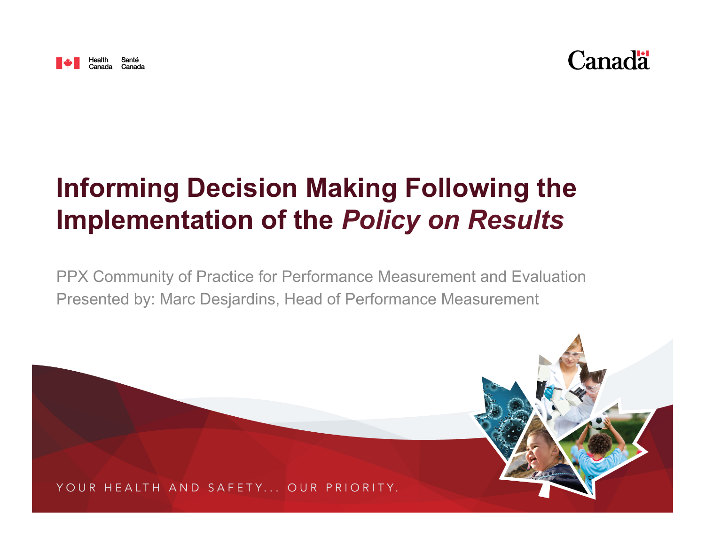



# **Informing Decision Making Following the Implementation of the** *Policy on Results*

PPX Community of Practice for Performance Measurement and Evaluation Presented by: Marc Desjardins, Head of Performance Measurement

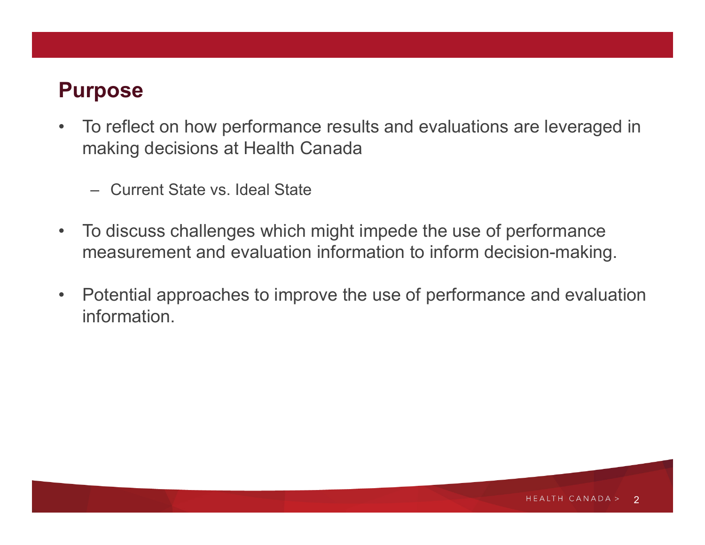# **Purpose**

- To reflect on how performance results and evaluations are leveraged in making decisions at Health Canada
	- Current State vs. Ideal State
- To discuss challenges which might impede the use of performance measurement and evaluation information to inform decision-making.
- Potential approaches to improve the use of performance and evaluation information.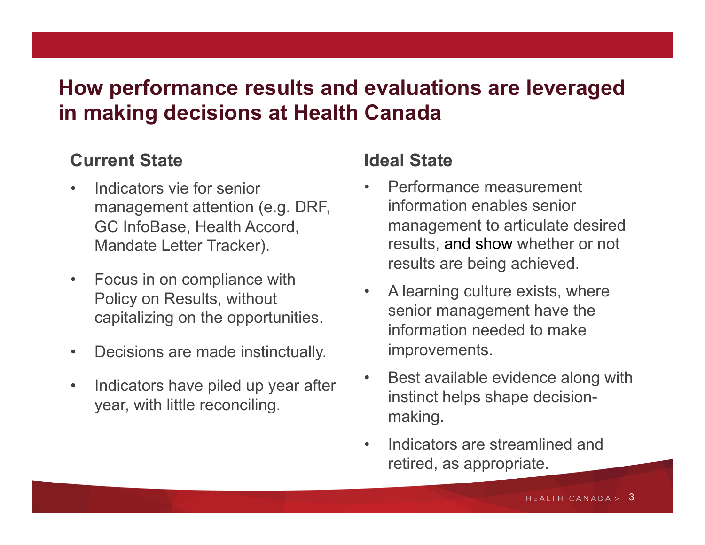## **How performance results and evaluations are leveraged in making decisions at Health Canada**

#### **Current State**

- Indicators vie for senior management attention (e.g. DRF, GC InfoBase, Health Accord, Mandate Letter Tracker).
- Focus in on compliance with Policy on Results, without capitalizing on the opportunities.
- Decisions are made instinctually.
- Indicators have piled up year after year, with little reconciling.

#### **Ideal State**

- Performance measurement information enables senior management to articulate desired results, and show whether or not results are being achieved.
- A learning culture exists, where senior management have the information needed to make improvements.
- Best available evidence along with instinct helps shape decisionmaking.
- Indicators are streamlined and retired, as appropriate.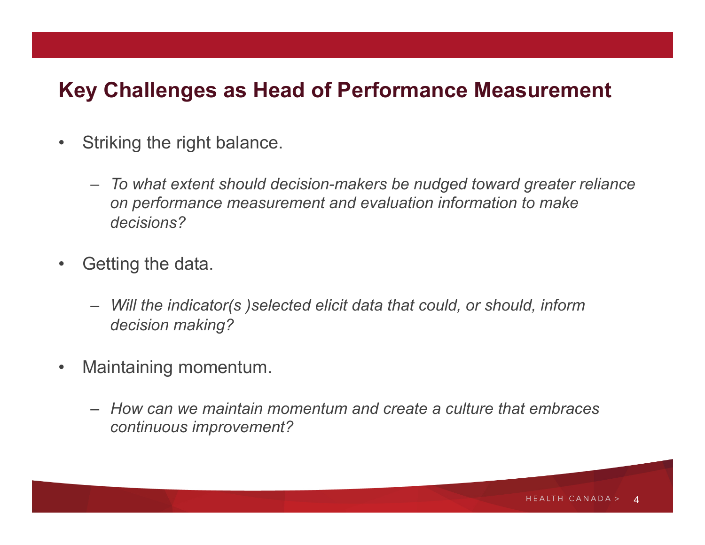#### **Key Challenges as Head of Performance Measurement**

- Striking the right balance.
	- *To what extent should decision-makers be nudged toward greater reliance on performance measurement and evaluation information to make decisions?*
- Getting the data.
	- *Will the indicator(s )selected elicit data that could, or should, inform decision making?*
- Maintaining momentum.
	- *How can we maintain momentum and create a culture that embraces continuous improvement?*

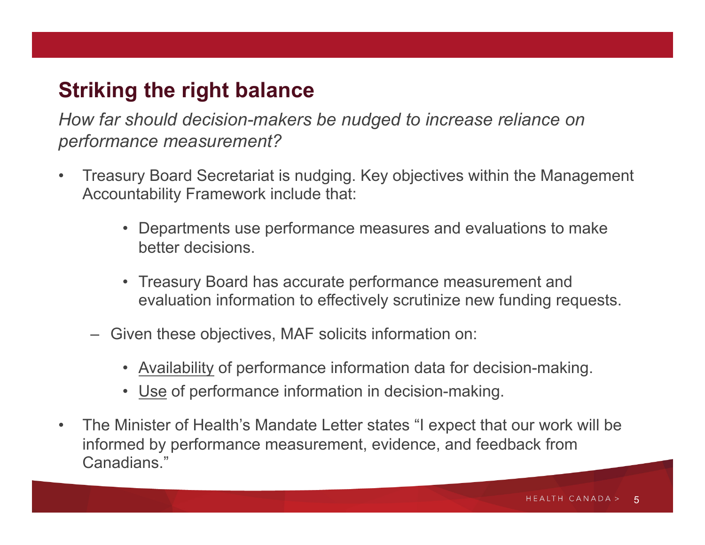# **Striking the right balance**

*How far should decision-makers be nudged to increase reliance on performance measurement?* 

- Treasury Board Secretariat is nudging. Key objectives within the Management Accountability Framework include that:
	- Departments use performance measures and evaluations to make better decisions.
	- Treasury Board has accurate performance measurement and evaluation information to effectively scrutinize new funding requests.
	- Given these objectives, MAF solicits information on:
		- Availability of performance information data for decision-making.
		- Use of performance information in decision-making.
- The Minister of Health's Mandate Letter states "I expect that our work will be informed by performance measurement, evidence, and feedback from Canadians."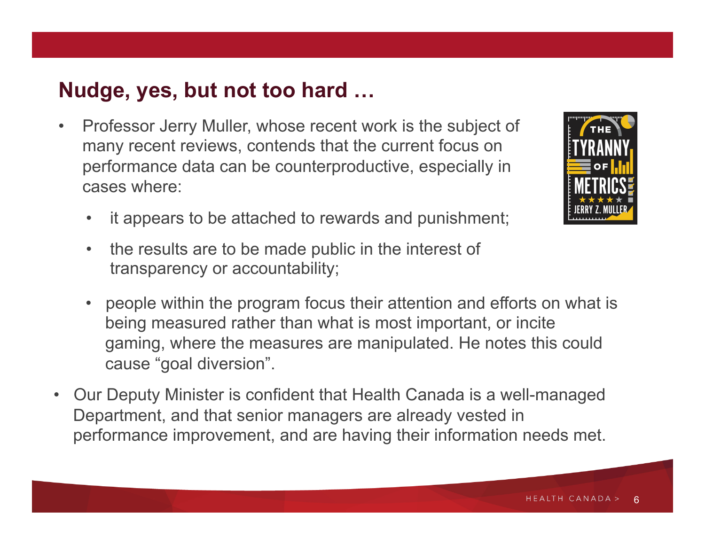## **Nudge, yes, but not too hard …**

- Professor Jerry Muller, whose recent work is the subject of many recent reviews, contends that the current focus on performance data can be counterproductive, especially in cases where:
	- it appears to be attached to rewards and punishment;
	- the results are to be made public in the interest of transparency or accountability;
	- people within the program focus their attention and efforts on what is being measured rather than what is most important, or incite gaming, where the measures are manipulated. He notes this could cause "goal diversion".
- Our Deputy Minister is confident that Health Canada is a well-managed Department, and that senior managers are already vested in performance improvement, and are having their information needs met.

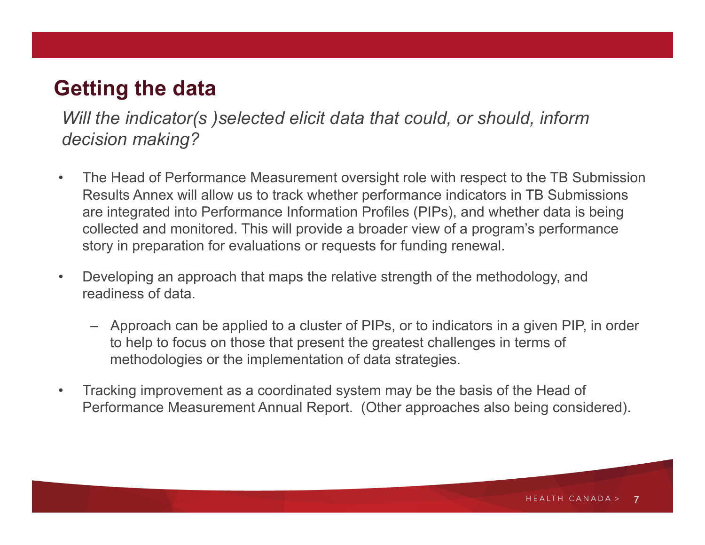# **Getting the data**

*Will the indicator(s )selected elicit data that could, or should, inform decision making?* 

- The Head of Performance Measurement oversight role with respect to the TB Submission Results Annex will allow us to track whether performance indicators in TB Submissions are integrated into Performance Information Profiles (PIPs), and whether data is being collected and monitored. This will provide a broader view of a program's performance story in preparation for evaluations or requests for funding renewal.
- Developing an approach that maps the relative strength of the methodology, and readiness of data.
	- Approach can be applied to a cluster of PIPs, or to indicators in a given PIP, in order to help to focus on those that present the greatest challenges in terms of methodologies or the implementation of data strategies.
- Tracking improvement as a coordinated system may be the basis of the Head of Performance Measurement Annual Report. (Other approaches also being considered).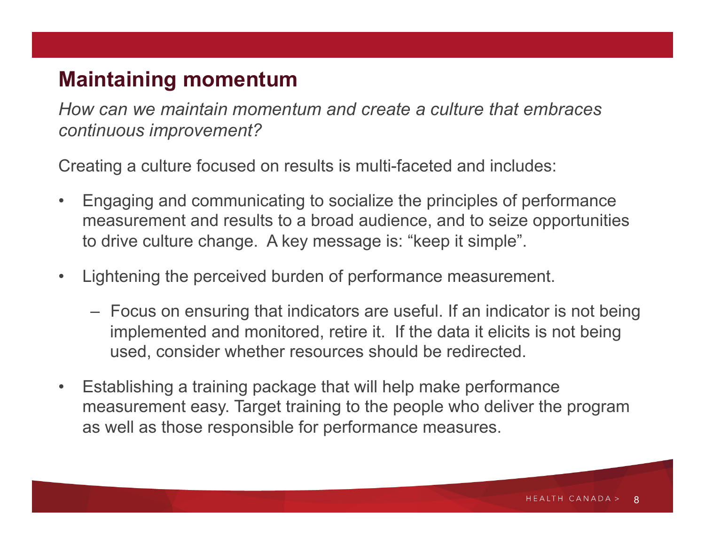#### **Maintaining momentum**

*How can we maintain momentum and create a culture that embraces continuous improvement?* 

Creating a culture focused on results is multi-faceted and includes:

- Engaging and communicating to socialize the principles of performance measurement and results to a broad audience, and to seize opportunities to drive culture change. A key message is: "keep it simple".
- Lightening the perceived burden of performance measurement.
	- Focus on ensuring that indicators are useful. If an indicator is not being implemented and monitored, retire it. If the data it elicits is not being used, consider whether resources should be redirected.
- Establishing a training package that will help make performance measurement easy. Target training to the people who deliver the program as well as those responsible for performance measures.